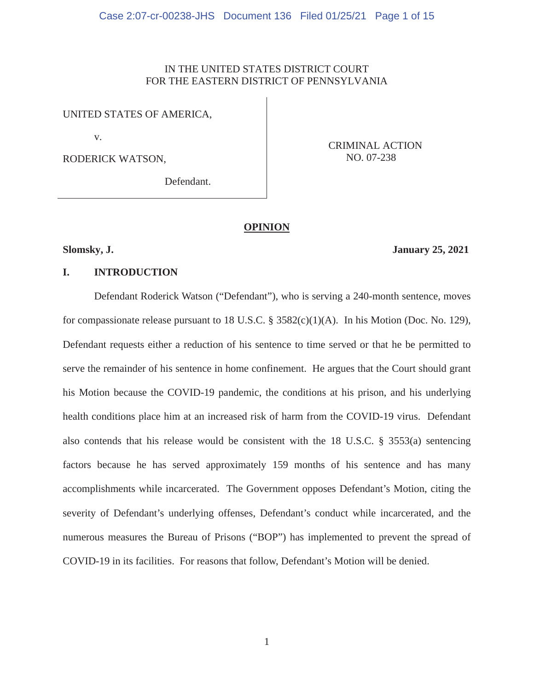# IN THE UNITED STATES DISTRICT COURT FOR THE EASTERN DISTRICT OF PENNSYLVANIA

UNITED STATES OF AMERICA,

v.

RODERICK WATSON,

CRIMINAL ACTION NO. 07-238

Defendant.

## **OPINION**

# **Slomsky, J. January 25, 2021**

#### **I. INTRODUCTION**

Defendant Roderick Watson ("Defendant"), who is serving a 240-month sentence, moves for compassionate release pursuant to 18 U.S.C.  $\S$  3582(c)(1)(A). In his Motion (Doc. No. 129), Defendant requests either a reduction of his sentence to time served or that he be permitted to serve the remainder of his sentence in home confinement. He argues that the Court should grant his Motion because the COVID-19 pandemic, the conditions at his prison, and his underlying health conditions place him at an increased risk of harm from the COVID-19 virus. Defendant also contends that his release would be consistent with the 18 U.S.C. § 3553(a) sentencing factors because he has served approximately 159 months of his sentence and has many accomplishments while incarcerated. The Government opposes Defendant's Motion, citing the severity of Defendant's underlying offenses, Defendant's conduct while incarcerated, and the numerous measures the Bureau of Prisons ("BOP") has implemented to prevent the spread of COVID-19 in its facilities. For reasons that follow, Defendant's Motion will be denied.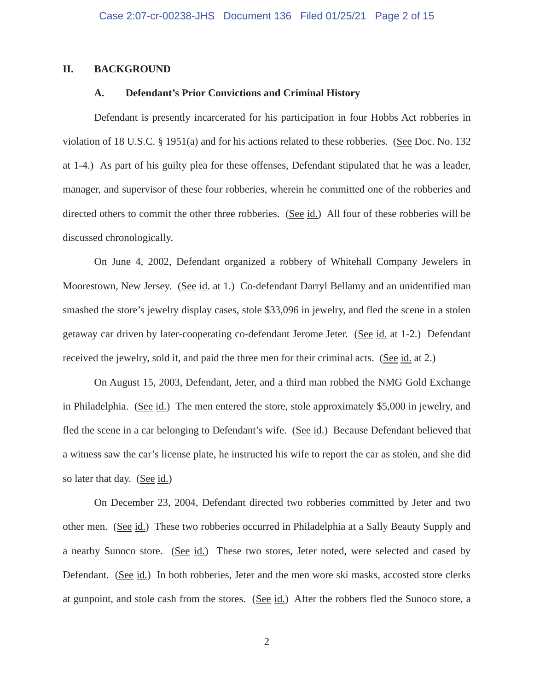## **II. BACKGROUND**

### **A. Defendant's Prior Convictions and Criminal History**

Defendant is presently incarcerated for his participation in four Hobbs Act robberies in violation of 18 U.S.C. § 1951(a) and for his actions related to these robberies. (See Doc. No. 132 at 1-4.) As part of his guilty plea for these offenses, Defendant stipulated that he was a leader, manager, and supervisor of these four robberies, wherein he committed one of the robberies and directed others to commit the other three robberies. (See id.) All four of these robberies will be discussed chronologically.

On June 4, 2002, Defendant organized a robbery of Whitehall Company Jewelers in Moorestown, New Jersey. (See id. at 1.) Co-defendant Darryl Bellamy and an unidentified man smashed the store's jewelry display cases, stole \$33,096 in jewelry, and fled the scene in a stolen getaway car driven by later-cooperating co-defendant Jerome Jeter. (See id. at 1-2.) Defendant received the jewelry, sold it, and paid the three men for their criminal acts. (See id. at 2.)

On August 15, 2003, Defendant, Jeter, and a third man robbed the NMG Gold Exchange in Philadelphia. (See id.) The men entered the store, stole approximately \$5,000 in jewelry, and fled the scene in a car belonging to Defendant's wife. (See id.) Because Defendant believed that a witness saw the car's license plate, he instructed his wife to report the car as stolen, and she did so later that day. (See id.)

On December 23, 2004, Defendant directed two robberies committed by Jeter and two other men. (See id.) These two robberies occurred in Philadelphia at a Sally Beauty Supply and a nearby Sunoco store. (See id.) These two stores, Jeter noted, were selected and cased by Defendant. (See id.) In both robberies, Jeter and the men wore ski masks, accosted store clerks at gunpoint, and stole cash from the stores. (See id.) After the robbers fled the Sunoco store, a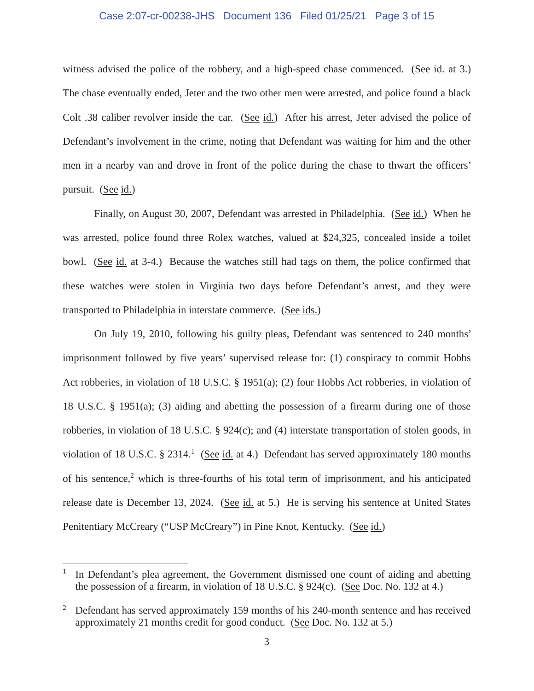## Case 2:07-cr-00238-JHS Document 136 Filed 01/25/21 Page 3 of 15

witness advised the police of the robbery, and a high-speed chase commenced. (See id. at 3.) The chase eventually ended, Jeter and the two other men were arrested, and police found a black Colt .38 caliber revolver inside the car. (See id.) After his arrest, Jeter advised the police of Defendant's involvement in the crime, noting that Defendant was waiting for him and the other men in a nearby van and drove in front of the police during the chase to thwart the officers' pursuit. (See id.)

Finally, on August 30, 2007, Defendant was arrested in Philadelphia. (See id.) When he was arrested, police found three Rolex watches, valued at \$24,325, concealed inside a toilet bowl. (See id. at 3-4.) Because the watches still had tags on them, the police confirmed that these watches were stolen in Virginia two days before Defendant's arrest, and they were transported to Philadelphia in interstate commerce. (See ids.)

On July 19, 2010, following his guilty pleas, Defendant was sentenced to 240 months' imprisonment followed by five years' supervised release for: (1) conspiracy to commit Hobbs Act robberies, in violation of 18 U.S.C. § 1951(a); (2) four Hobbs Act robberies, in violation of 18 U.S.C. § 1951(a); (3) aiding and abetting the possession of a firearm during one of those robberies, in violation of 18 U.S.C. § 924(c); and (4) interstate transportation of stolen goods, in violation of 18 U.S.C.  $\S 2314$ .<sup>1</sup> (See id. at 4.) Defendant has served approximately 180 months of his sentence,<sup>2</sup> which is three-fourths of his total term of imprisonment, and his anticipated release date is December 13, 2024. (See id. at 5.) He is serving his sentence at United States Penitentiary McCreary ("USP McCreary") in Pine Knot, Kentucky. (See id.)

In Defendant's plea agreement, the Government dismissed one count of aiding and abetting the possession of a firearm, in violation of 18 U.S.C. § 924(c). (See Doc. No. 132 at 4.)

<sup>2</sup> Defendant has served approximately 159 months of his 240-month sentence and has received approximately 21 months credit for good conduct. (See Doc. No. 132 at 5.)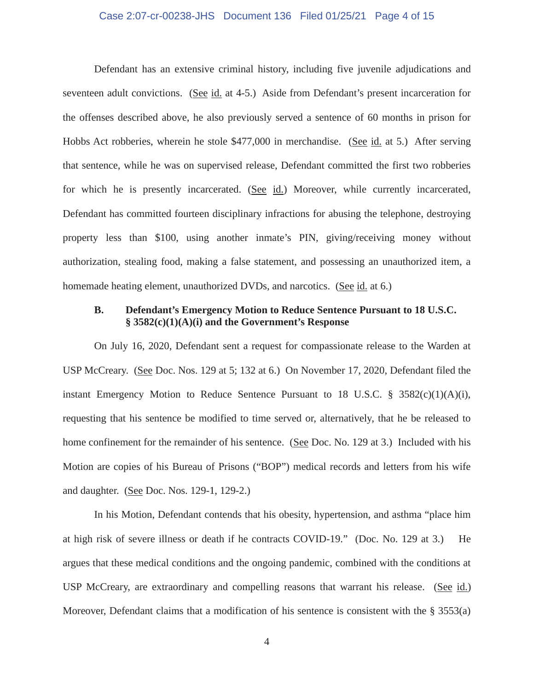#### Case 2:07-cr-00238-JHS Document 136 Filed 01/25/21 Page 4 of 15

Defendant has an extensive criminal history, including five juvenile adjudications and seventeen adult convictions. (See id. at 4-5.) Aside from Defendant's present incarceration for the offenses described above, he also previously served a sentence of 60 months in prison for Hobbs Act robberies, wherein he stole \$477,000 in merchandise. (See id. at 5.) After serving that sentence, while he was on supervised release, Defendant committed the first two robberies for which he is presently incarcerated. (See id.) Moreover, while currently incarcerated, Defendant has committed fourteen disciplinary infractions for abusing the telephone, destroying property less than \$100, using another inmate's PIN, giving/receiving money without authorization, stealing food, making a false statement, and possessing an unauthorized item, a homemade heating element, unauthorized DVDs, and narcotics. (See id. at 6.)

# **B. Defendant's Emergency Motion to Reduce Sentence Pursuant to 18 U.S.C. § 3582(c)(1)(A)(i) and the Government's Response**

On July 16, 2020, Defendant sent a request for compassionate release to the Warden at USP McCreary. (See Doc. Nos. 129 at 5; 132 at 6.) On November 17, 2020, Defendant filed the instant Emergency Motion to Reduce Sentence Pursuant to 18 U.S.C. § 3582(c)(1)(A)(i), requesting that his sentence be modified to time served or, alternatively, that he be released to home confinement for the remainder of his sentence. (See Doc. No. 129 at 3.) Included with his Motion are copies of his Bureau of Prisons ("BOP") medical records and letters from his wife and daughter. (See Doc. Nos. 129-1, 129-2.)

In his Motion, Defendant contends that his obesity, hypertension, and asthma "place him at high risk of severe illness or death if he contracts COVID-19." (Doc. No. 129 at 3.) He argues that these medical conditions and the ongoing pandemic, combined with the conditions at USP McCreary, are extraordinary and compelling reasons that warrant his release. (See id.) Moreover, Defendant claims that a modification of his sentence is consistent with the § 3553(a)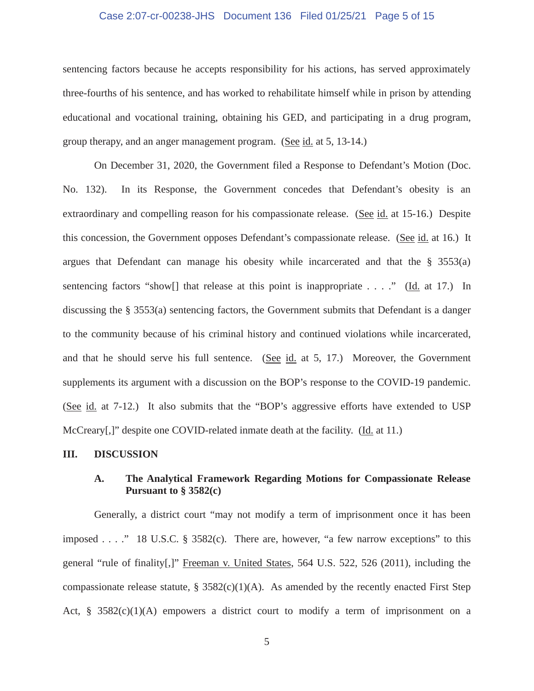## Case 2:07-cr-00238-JHS Document 136 Filed 01/25/21 Page 5 of 15

sentencing factors because he accepts responsibility for his actions, has served approximately three-fourths of his sentence, and has worked to rehabilitate himself while in prison by attending educational and vocational training, obtaining his GED, and participating in a drug program, group therapy, and an anger management program. (See id. at 5, 13-14.)

On December 31, 2020, the Government filed a Response to Defendant's Motion (Doc. No. 132). In its Response, the Government concedes that Defendant's obesity is an extraordinary and compelling reason for his compassionate release. (See id. at 15-16.) Despite this concession, the Government opposes Defendant's compassionate release. (See id. at 16.) It argues that Defendant can manage his obesity while incarcerated and that the  $\S$  3553(a) sentencing factors "show [] that release at this point is inappropriate . . . ." (Id. at 17.) In discussing the § 3553(a) sentencing factors, the Government submits that Defendant is a danger to the community because of his criminal history and continued violations while incarcerated, and that he should serve his full sentence. (See id. at 5, 17.) Moreover, the Government supplements its argument with a discussion on the BOP's response to the COVID-19 pandemic. (See id. at 7-12.) It also submits that the "BOP's aggressive efforts have extended to USP McCreary[,]" despite one COVID-related inmate death at the facility. (Id. at 11.)

#### **III. DISCUSSION**

## **A. The Analytical Framework Regarding Motions for Compassionate Release Pursuant to § 3582(c)**

Generally, a district court "may not modify a term of imprisonment once it has been imposed . . . ." 18 U.S.C. § 3582(c). There are, however, "a few narrow exceptions" to this general "rule of finality[,]" Freeman v. United States, 564 U.S. 522, 526 (2011), including the compassionate release statute,  $\S$  3582(c)(1)(A). As amended by the recently enacted First Step Act, §  $3582(c)(1)(A)$  empowers a district court to modify a term of imprisonment on a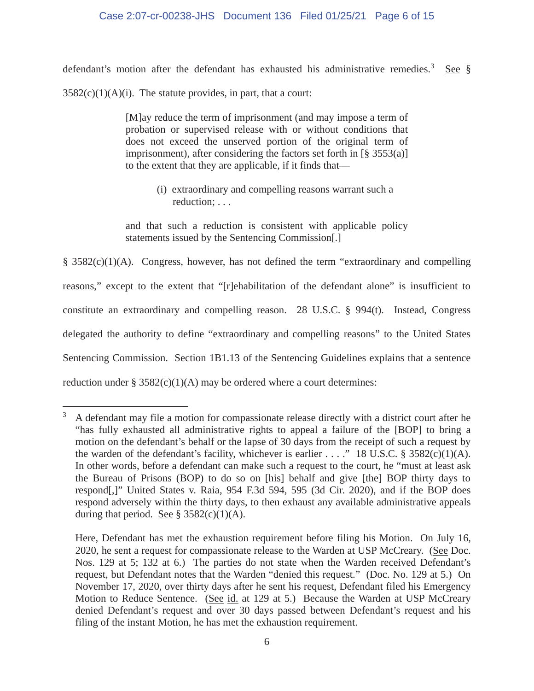## Case 2:07-cr-00238-JHS Document 136 Filed 01/25/21 Page 6 of 15

defendant's motion after the defendant has exhausted his administrative remedies.<sup>3</sup> See §  $3582(c)(1)(A)(i)$ . The statute provides, in part, that a court:

> [M]ay reduce the term of imprisonment (and may impose a term of probation or supervised release with or without conditions that does not exceed the unserved portion of the original term of imprisonment), after considering the factors set forth in  $\lbrack$   $\S$  3553(a)] to the extent that they are applicable, if it finds that—

> > (i) extraordinary and compelling reasons warrant such a reduction; . . .

and that such a reduction is consistent with applicable policy statements issued by the Sentencing Commission[.]

§ 3582(c)(1)(A). Congress, however, has not defined the term "extraordinary and compelling reasons," except to the extent that "[r]ehabilitation of the defendant alone" is insufficient to constitute an extraordinary and compelling reason. 28 U.S.C. § 994(t). Instead, Congress delegated the authority to define "extraordinary and compelling reasons" to the United States Sentencing Commission. Section 1B1.13 of the Sentencing Guidelines explains that a sentence reduction under  $\S 3582(c)(1)(A)$  may be ordered where a court determines:

 $3\,$  A defendant may file a motion for compassionate release directly with a district court after he "has fully exhausted all administrative rights to appeal a failure of the [BOP] to bring a motion on the defendant's behalf or the lapse of 30 days from the receipt of such a request by the warden of the defendant's facility, whichever is earlier . . . ." 18 U.S.C. § 3582(c)(1)(A). In other words, before a defendant can make such a request to the court, he "must at least ask the Bureau of Prisons (BOP) to do so on [his] behalf and give [the] BOP thirty days to respond[,]" United States v. Raia, 954 F.3d 594, 595 (3d Cir. 2020), and if the BOP does respond adversely within the thirty days, to then exhaust any available administrative appeals during that period. See  $\S$  3582(c)(1)(A).

Here, Defendant has met the exhaustion requirement before filing his Motion. On July 16, 2020, he sent a request for compassionate release to the Warden at USP McCreary. (See Doc. Nos. 129 at 5; 132 at 6.) The parties do not state when the Warden received Defendant's request, but Defendant notes that the Warden "denied this request." (Doc. No. 129 at 5.) On November 17, 2020, over thirty days after he sent his request, Defendant filed his Emergency Motion to Reduce Sentence. (See id. at 129 at 5.) Because the Warden at USP McCreary denied Defendant's request and over 30 days passed between Defendant's request and his filing of the instant Motion, he has met the exhaustion requirement.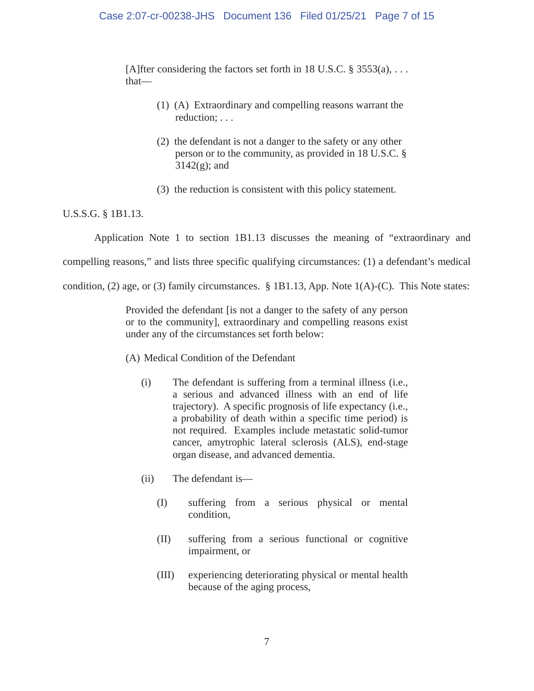[A]fter considering the factors set forth in 18 U.S.C.  $\S$  3553(a), ... that—

- (1) (A) Extraordinary and compelling reasons warrant the reduction; . . .
- (2) the defendant is not a danger to the safety or any other person or to the community, as provided in 18 U.S.C. §  $3142(g)$ ; and
- (3) the reduction is consistent with this policy statement.

# U.S.S.G. § 1B1.13.

Application Note 1 to section 1B1.13 discusses the meaning of "extraordinary and compelling reasons," and lists three specific qualifying circumstances: (1) a defendant's medical condition, (2) age, or (3) family circumstances. § 1B1.13, App. Note 1(A)-(C). This Note states:

> Provided the defendant [is not a danger to the safety of any person or to the community], extraordinary and compelling reasons exist under any of the circumstances set forth below:

- (A) Medical Condition of the Defendant
	- (i) The defendant is suffering from a terminal illness (i.e., a serious and advanced illness with an end of life trajectory). A specific prognosis of life expectancy (i.e., a probability of death within a specific time period) is not required. Examples include metastatic solid-tumor cancer, amytrophic lateral sclerosis (ALS), end-stage organ disease, and advanced dementia.
	- (ii) The defendant is—
		- (I) suffering from a serious physical or mental condition,
		- (II) suffering from a serious functional or cognitive impairment, or
		- (III) experiencing deteriorating physical or mental health because of the aging process,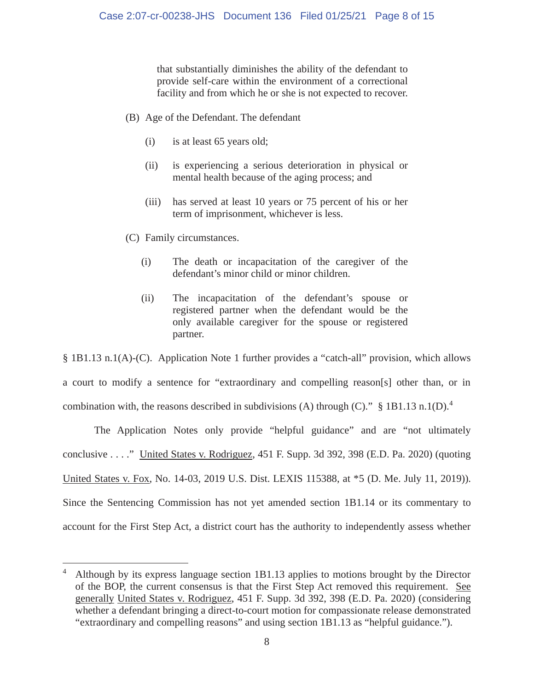that substantially diminishes the ability of the defendant to provide self-care within the environment of a correctional facility and from which he or she is not expected to recover.

- (B) Age of the Defendant. The defendant
	- (i) is at least 65 years old;
	- (ii) is experiencing a serious deterioration in physical or mental health because of the aging process; and
	- (iii) has served at least 10 years or 75 percent of his or her term of imprisonment, whichever is less.
- (C) Family circumstances.
	- (i) The death or incapacitation of the caregiver of the defendant's minor child or minor children.
	- (ii) The incapacitation of the defendant's spouse or registered partner when the defendant would be the only available caregiver for the spouse or registered partner.

§ 1B1.13 n.1(A)-(C). Application Note 1 further provides a "catch-all" provision, which allows a court to modify a sentence for "extraordinary and compelling reason[s] other than, or in combination with, the reasons described in subdivisions (A) through (C)."  $\S$  1B1.13 n.1(D).<sup>4</sup>

The Application Notes only provide "helpful guidance" and are "not ultimately conclusive . . . ." United States v. Rodriguez, 451 F. Supp. 3d 392, 398 (E.D. Pa. 2020) (quoting United States v. Fox, No. 14-03, 2019 U.S. Dist. LEXIS 115388, at \*5 (D. Me. July 11, 2019)). Since the Sentencing Commission has not yet amended section 1B1.14 or its commentary to account for the First Step Act, a district court has the authority to independently assess whether

<sup>&</sup>lt;sup>4</sup> Although by its express language section 1B1.13 applies to motions brought by the Director of the BOP, the current consensus is that the First Step Act removed this requirement. See generally United States v. Rodriguez, 451 F. Supp. 3d 392, 398 (E.D. Pa. 2020) (considering whether a defendant bringing a direct-to-court motion for compassionate release demonstrated "extraordinary and compelling reasons" and using section 1B1.13 as "helpful guidance.").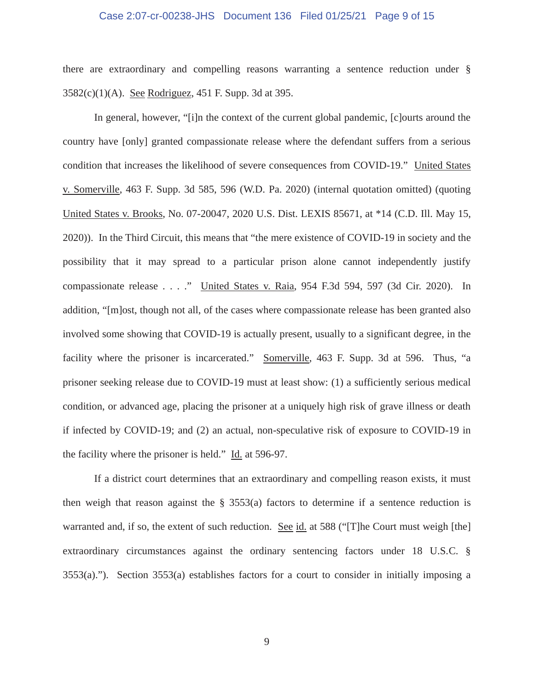#### Case 2:07-cr-00238-JHS Document 136 Filed 01/25/21 Page 9 of 15

there are extraordinary and compelling reasons warranting a sentence reduction under § 3582(c)(1)(A). See Rodriguez, 451 F. Supp. 3d at 395.

In general, however, "[i]n the context of the current global pandemic, [c]ourts around the country have [only] granted compassionate release where the defendant suffers from a serious condition that increases the likelihood of severe consequences from COVID-19." United States v. Somerville, 463 F. Supp. 3d 585, 596 (W.D. Pa. 2020) (internal quotation omitted) (quoting United States v. Brooks, No. 07-20047, 2020 U.S. Dist. LEXIS 85671, at \*14 (C.D. Ill. May 15, 2020)). In the Third Circuit, this means that "the mere existence of COVID-19 in society and the possibility that it may spread to a particular prison alone cannot independently justify compassionate release . . . ." United States v. Raia, 954 F.3d 594, 597 (3d Cir. 2020). In addition, "[m]ost, though not all, of the cases where compassionate release has been granted also involved some showing that COVID-19 is actually present, usually to a significant degree, in the facility where the prisoner is incarcerated." Somerville, 463 F. Supp. 3d at 596. Thus, "a prisoner seeking release due to COVID-19 must at least show: (1) a sufficiently serious medical condition, or advanced age, placing the prisoner at a uniquely high risk of grave illness or death if infected by COVID-19; and (2) an actual, non-speculative risk of exposure to COVID-19 in the facility where the prisoner is held." Id. at 596-97.

If a district court determines that an extraordinary and compelling reason exists, it must then weigh that reason against the  $\S$  3553(a) factors to determine if a sentence reduction is warranted and, if so, the extent of such reduction. See id. at 588 ("[T]he Court must weigh [the] extraordinary circumstances against the ordinary sentencing factors under 18 U.S.C. § 3553(a)."). Section 3553(a) establishes factors for a court to consider in initially imposing a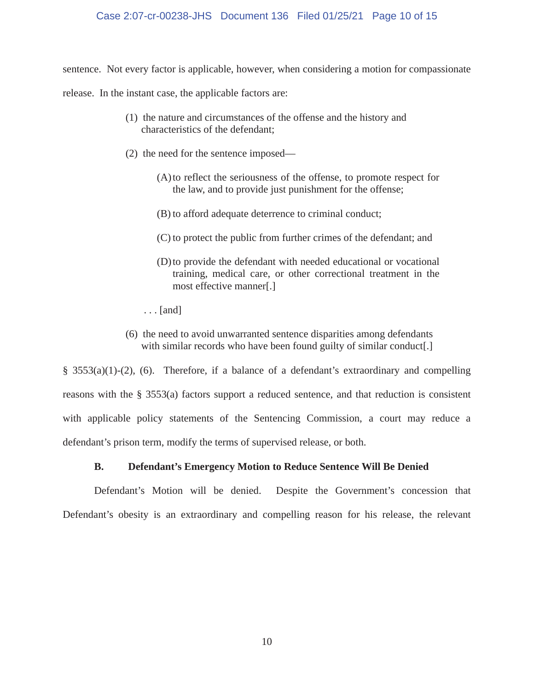## Case 2:07-cr-00238-JHS Document 136 Filed 01/25/21 Page 10 of 15

sentence. Not every factor is applicable, however, when considering a motion for compassionate

release. In the instant case, the applicable factors are:

- (1) the nature and circumstances of the offense and the history and characteristics of the defendant;
- (2) the need for the sentence imposed—
	- (A)to reflect the seriousness of the offense, to promote respect for the law, and to provide just punishment for the offense;
	- (B) to afford adequate deterrence to criminal conduct;
	- (C) to protect the public from further crimes of the defendant; and
	- (D)to provide the defendant with needed educational or vocational training, medical care, or other correctional treatment in the most effective manner[.]
	- . . . [and]
- (6) the need to avoid unwarranted sentence disparities among defendants with similar records who have been found guilty of similar conduct.

§ 3553(a)(1)-(2), (6). Therefore, if a balance of a defendant's extraordinary and compelling reasons with the § 3553(a) factors support a reduced sentence, and that reduction is consistent with applicable policy statements of the Sentencing Commission, a court may reduce a defendant's prison term, modify the terms of supervised release, or both.

# **B. Defendant's Emergency Motion to Reduce Sentence Will Be Denied**

Defendant's Motion will be denied. Despite the Government's concession that Defendant's obesity is an extraordinary and compelling reason for his release, the relevant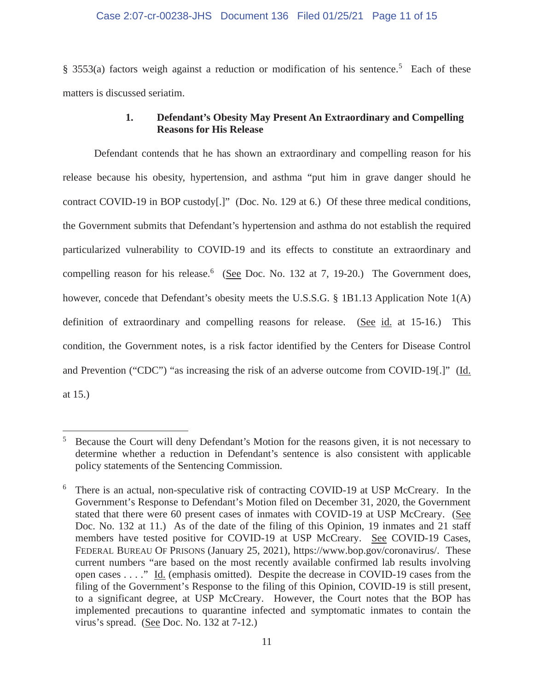## Case 2:07-cr-00238-JHS Document 136 Filed 01/25/21 Page 11 of 15

§ 3553(a) factors weigh against a reduction or modification of his sentence.<sup>5</sup> Each of these matters is discussed seriatim.

# **1. Defendant's Obesity May Present An Extraordinary and Compelling Reasons for His Release**

Defendant contends that he has shown an extraordinary and compelling reason for his release because his obesity, hypertension, and asthma "put him in grave danger should he contract COVID-19 in BOP custody[.]" (Doc. No. 129 at 6.) Of these three medical conditions, the Government submits that Defendant's hypertension and asthma do not establish the required particularized vulnerability to COVID-19 and its effects to constitute an extraordinary and compelling reason for his release.  $6$  (See Doc. No. 132 at 7, 19-20.) The Government does, however, concede that Defendant's obesity meets the U.S.S.G. § 1B1.13 Application Note 1(A) definition of extraordinary and compelling reasons for release. (See id. at 15-16.) This condition, the Government notes, is a risk factor identified by the Centers for Disease Control and Prevention ("CDC") "as increasing the risk of an adverse outcome from COVID-19[.]" (Id. at 15.)

<sup>5</sup> Because the Court will deny Defendant's Motion for the reasons given, it is not necessary to determine whether a reduction in Defendant's sentence is also consistent with applicable policy statements of the Sentencing Commission.

<sup>6</sup> There is an actual, non-speculative risk of contracting COVID-19 at USP McCreary. In the Government's Response to Defendant's Motion filed on December 31, 2020, the Government stated that there were 60 present cases of inmates with COVID-19 at USP McCreary. (See Doc. No. 132 at 11.) As of the date of the filing of this Opinion, 19 inmates and 21 staff members have tested positive for COVID-19 at USP McCreary. See COVID-19 Cases, FEDERAL BUREAU OF PRISONS (January 25, 2021), https://www.bop.gov/coronavirus/. These current numbers "are based on the most recently available confirmed lab results involving open cases . . . ." Id. (emphasis omitted). Despite the decrease in COVID-19 cases from the filing of the Government's Response to the filing of this Opinion, COVID-19 is still present, to a significant degree, at USP McCreary. However, the Court notes that the BOP has implemented precautions to quarantine infected and symptomatic inmates to contain the virus's spread. (See Doc. No. 132 at 7-12.)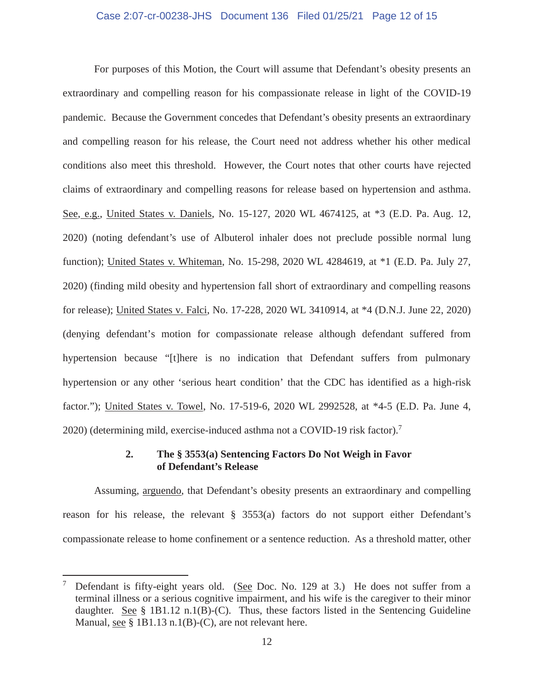## Case 2:07-cr-00238-JHS Document 136 Filed 01/25/21 Page 12 of 15

For purposes of this Motion, the Court will assume that Defendant's obesity presents an extraordinary and compelling reason for his compassionate release in light of the COVID-19 pandemic. Because the Government concedes that Defendant's obesity presents an extraordinary and compelling reason for his release, the Court need not address whether his other medical conditions also meet this threshold. However, the Court notes that other courts have rejected claims of extraordinary and compelling reasons for release based on hypertension and asthma. See, e.g., United States v. Daniels, No. 15-127, 2020 WL 4674125, at \*3 (E.D. Pa. Aug. 12, 2020) (noting defendant's use of Albuterol inhaler does not preclude possible normal lung function); United States v. Whiteman, No. 15-298, 2020 WL 4284619, at \*1 (E.D. Pa. July 27, 2020) (finding mild obesity and hypertension fall short of extraordinary and compelling reasons for release); United States v. Falci, No. 17-228, 2020 WL 3410914, at \*4 (D.N.J. June 22, 2020) (denying defendant's motion for compassionate release although defendant suffered from hypertension because "[t]here is no indication that Defendant suffers from pulmonary hypertension or any other 'serious heart condition' that the CDC has identified as a high-risk factor."); United States v. Towel, No. 17-519-6, 2020 WL 2992528, at \*4-5 (E.D. Pa. June 4, 2020) (determining mild, exercise-induced asthma not a COVID-19 risk factor).<sup>7</sup>

# **2. The § 3553(a) Sentencing Factors Do Not Weigh in Favor of Defendant's Release**

Assuming, arguendo, that Defendant's obesity presents an extraordinary and compelling reason for his release, the relevant § 3553(a) factors do not support either Defendant's compassionate release to home confinement or a sentence reduction. As a threshold matter, other

Defendant is fifty-eight years old. (See Doc. No. 129 at 3.) He does not suffer from a terminal illness or a serious cognitive impairment, and his wife is the caregiver to their minor daughter. See  $\S$  1B1.12 n.1(B)-(C). Thus, these factors listed in the Sentencing Guideline Manual, see  $\S$  1B1.13 n.1(B)-(C), are not relevant here.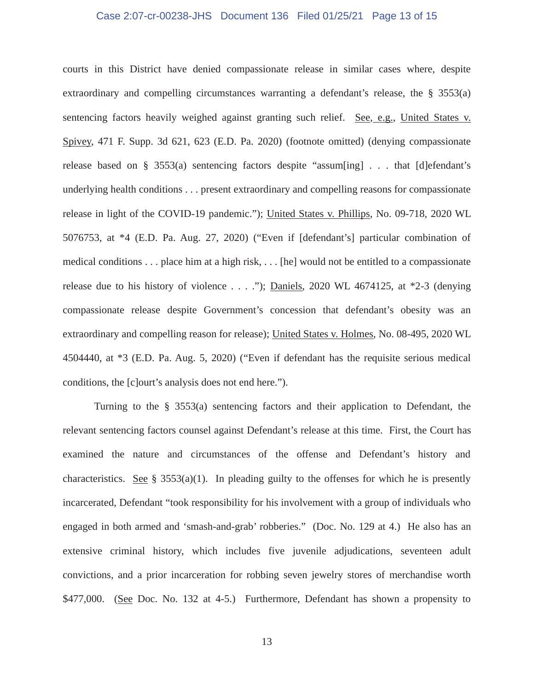## Case 2:07-cr-00238-JHS Document 136 Filed 01/25/21 Page 13 of 15

courts in this District have denied compassionate release in similar cases where, despite extraordinary and compelling circumstances warranting a defendant's release, the § 3553(a) sentencing factors heavily weighed against granting such relief. See, e.g., United States v. Spivey, 471 F. Supp. 3d 621, 623 (E.D. Pa. 2020) (footnote omitted) (denying compassionate release based on § 3553(a) sentencing factors despite "assum[ing] . . . that [d]efendant's underlying health conditions . . . present extraordinary and compelling reasons for compassionate release in light of the COVID-19 pandemic."); United States v. Phillips, No. 09-718, 2020 WL 5076753, at \*4 (E.D. Pa. Aug. 27, 2020) ("Even if [defendant's] particular combination of medical conditions . . . place him at a high risk, . . . [he] would not be entitled to a compassionate release due to his history of violence  $\dots$ ."); Daniels, 2020 WL 4674125, at \*2-3 (denying compassionate release despite Government's concession that defendant's obesity was an extraordinary and compelling reason for release); United States v. Holmes, No. 08-495, 2020 WL 4504440, at \*3 (E.D. Pa. Aug. 5, 2020) ("Even if defendant has the requisite serious medical conditions, the [c]ourt's analysis does not end here.").

Turning to the § 3553(a) sentencing factors and their application to Defendant, the relevant sentencing factors counsel against Defendant's release at this time. First, the Court has examined the nature and circumstances of the offense and Defendant's history and characteristics. See § 3553(a)(1). In pleading guilty to the offenses for which he is presently incarcerated, Defendant "took responsibility for his involvement with a group of individuals who engaged in both armed and 'smash-and-grab' robberies." (Doc. No. 129 at 4.) He also has an extensive criminal history, which includes five juvenile adjudications, seventeen adult convictions, and a prior incarceration for robbing seven jewelry stores of merchandise worth \$477,000. (See Doc. No. 132 at 4-5.) Furthermore, Defendant has shown a propensity to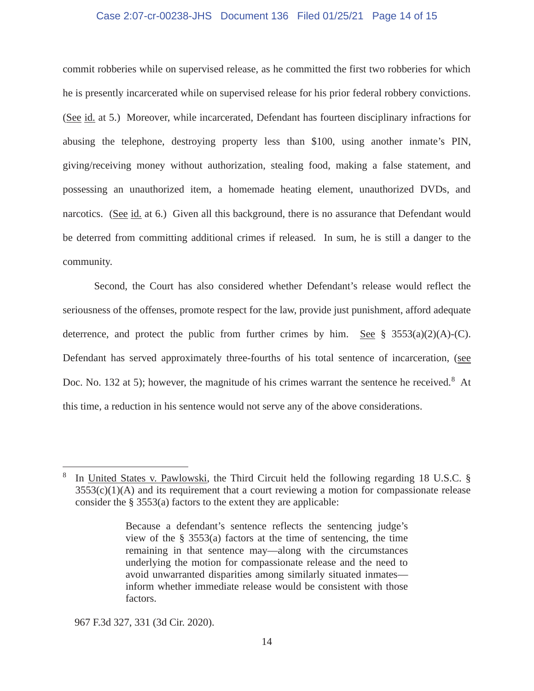## Case 2:07-cr-00238-JHS Document 136 Filed 01/25/21 Page 14 of 15

commit robberies while on supervised release, as he committed the first two robberies for which he is presently incarcerated while on supervised release for his prior federal robbery convictions. (See id. at 5.) Moreover, while incarcerated, Defendant has fourteen disciplinary infractions for abusing the telephone, destroying property less than \$100, using another inmate's PIN, giving/receiving money without authorization, stealing food, making a false statement, and possessing an unauthorized item, a homemade heating element, unauthorized DVDs, and narcotics. (See id. at 6.) Given all this background, there is no assurance that Defendant would be deterred from committing additional crimes if released. In sum, he is still a danger to the community.

Second, the Court has also considered whether Defendant's release would reflect the seriousness of the offenses, promote respect for the law, provide just punishment, afford adequate deterrence, and protect the public from further crimes by him. See  $\S$  3553(a)(2)(A)-(C). Defendant has served approximately three-fourths of his total sentence of incarceration, (see Doc. No. 132 at 5); however, the magnitude of his crimes warrant the sentence he received.<sup>8</sup> At this time, a reduction in his sentence would not serve any of the above considerations.

967 F.3d 327, 331 (3d Cir. 2020).

<sup>8</sup> In United States v. Pawlowski, the Third Circuit held the following regarding 18 U.S.C. §  $3553(c)(1)(A)$  and its requirement that a court reviewing a motion for compassionate release consider the § 3553(a) factors to the extent they are applicable:

Because a defendant's sentence reflects the sentencing judge's view of the  $\S$  3553(a) factors at the time of sentencing, the time remaining in that sentence may—along with the circumstances underlying the motion for compassionate release and the need to avoid unwarranted disparities among similarly situated inmates inform whether immediate release would be consistent with those factors.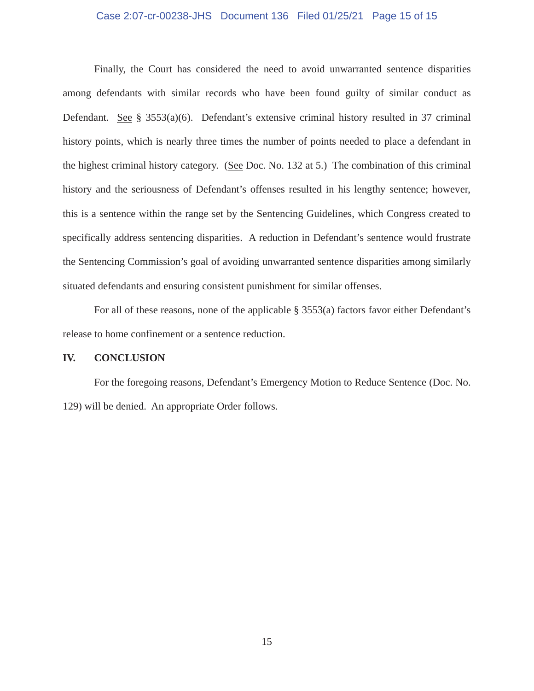## Case 2:07-cr-00238-JHS Document 136 Filed 01/25/21 Page 15 of 15

Finally, the Court has considered the need to avoid unwarranted sentence disparities among defendants with similar records who have been found guilty of similar conduct as Defendant. See § 3553(a)(6). Defendant's extensive criminal history resulted in 37 criminal history points, which is nearly three times the number of points needed to place a defendant in the highest criminal history category. (See Doc. No. 132 at 5.) The combination of this criminal history and the seriousness of Defendant's offenses resulted in his lengthy sentence; however, this is a sentence within the range set by the Sentencing Guidelines, which Congress created to specifically address sentencing disparities. A reduction in Defendant's sentence would frustrate the Sentencing Commission's goal of avoiding unwarranted sentence disparities among similarly situated defendants and ensuring consistent punishment for similar offenses.

For all of these reasons, none of the applicable § 3553(a) factors favor either Defendant's release to home confinement or a sentence reduction.

#### **IV. CONCLUSION**

For the foregoing reasons, Defendant's Emergency Motion to Reduce Sentence (Doc. No. 129) will be denied. An appropriate Order follows.